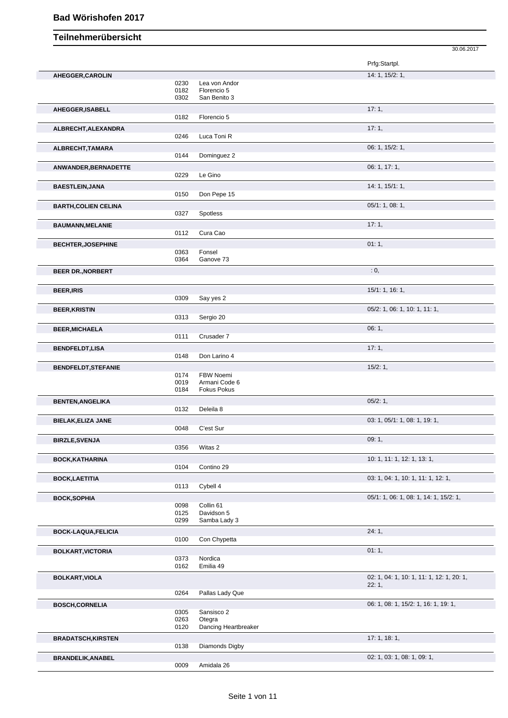|                             |                      |                                                  | 30.06.2017                                         |
|-----------------------------|----------------------|--------------------------------------------------|----------------------------------------------------|
|                             |                      |                                                  | Prfg:Startpl.                                      |
| AHEGGER, CAROLIN            |                      |                                                  | 14: 1, 15/2: 1,                                    |
|                             | 0230<br>0182<br>0302 | Lea von Andor<br>Florencio 5<br>San Benito 3     |                                                    |
| AHEGGER, ISABELL            | 0182                 | Florencio 5                                      | 17:1,                                              |
| ALBRECHT, ALEXANDRA         | 0246                 | Luca Toni R                                      | 17:1,                                              |
| ALBRECHT, TAMARA            |                      |                                                  | 06: 1, 15/2: 1,                                    |
| ANWANDER, BERNADETTE        | 0144                 | Dominguez 2                                      | 06: 1, 17: 1,                                      |
|                             | 0229                 | Le Gino                                          | 14: 1, 15/1: 1,                                    |
| <b>BAESTLEIN, JANA</b>      | 0150                 | Don Pepe 15                                      |                                                    |
| <b>BARTH, COLIEN CELINA</b> | 0327                 | Spotless                                         | 05/1: 1, 08: 1,                                    |
| <b>BAUMANN, MELANIE</b>     | 0112                 | Cura Cao                                         | 17:1,                                              |
| <b>BECHTER, JOSEPHINE</b>   |                      |                                                  | 01:1,                                              |
|                             | 0363<br>0364         | Fonsel<br>Ganove 73                              |                                                    |
| <b>BEER DR., NORBERT</b>    |                      |                                                  | : 0,                                               |
| <b>BEER, IRIS</b>           |                      |                                                  | 15/1: 1, 16: 1,                                    |
|                             | 0309                 | Say yes 2                                        |                                                    |
| <b>BEER, KRISTIN</b>        | 0313                 | Sergio 20                                        | 05/2: 1, 06: 1, 10: 1, 11: 1,                      |
| <b>BEER, MICHAELA</b>       | 0111                 | Crusader 7                                       | 06:1,                                              |
| <b>BENDFELDT,LISA</b>       |                      |                                                  | 17:1,                                              |
|                             | 0148                 | Don Larino 4                                     |                                                    |
| <b>BENDFELDT, STEFANIE</b>  | 0174<br>0019<br>0184 | FBW Noemi<br>Armani Code 6<br><b>Fokus Pokus</b> | 15/2:1,                                            |
| <b>BENTEN, ANGELIKA</b>     |                      |                                                  | 05/2:1,                                            |
| <b>BIELAK, ELIZA JANE</b>   | 0132                 | Deleila 8                                        | 03: 1, 05/1: 1, 08: 1, 19: 1,                      |
| <b>BIRZLE, SVENJA</b>       | 0048                 | C'est Sur                                        | 09:1,                                              |
|                             | 0356                 | Witas 2                                          |                                                    |
| <b>BOCK, KATHARINA</b>      | 0104                 | Contino 29                                       | 10: 1, 11: 1, 12: 1, 13: 1,                        |
| <b>BOCK,LAETITIA</b>        |                      |                                                  | 03: 1, 04: 1, 10: 1, 11: 1, 12: 1,                 |
|                             | 0113                 | Cybell 4                                         |                                                    |
| <b>BOCK, SOPHIA</b>         | 0098<br>0125<br>0299 | Collin 61<br>Davidson 5<br>Samba Lady 3          | 05/1: 1, 06: 1, 08: 1, 14: 1, 15/2: 1,             |
| BOCK-LAQUA, FELICIA         | 0100                 | Con Chypetta                                     | 24:1,                                              |
| <b>BOLKART, VICTORIA</b>    |                      |                                                  | 01:1,                                              |
|                             | 0373<br>0162         | Nordica<br>Emilia 49                             |                                                    |
| <b>BOLKART, VIOLA</b>       |                      |                                                  | 02: 1, 04: 1, 10: 1, 11: 1, 12: 1, 20: 1,<br>22:1, |
|                             | 0264                 | Pallas Lady Que                                  |                                                    |
| <b>BOSCH, CORNELIA</b>      | 0305<br>0263         | Sansisco 2<br>Otegra                             | 06: 1, 08: 1, 15/2: 1, 16: 1, 19: 1,               |
| <b>BRADATSCH,KIRSTEN</b>    | 0120                 | Dancing Heartbreaker                             | 17:1, 18:1,                                        |
| <b>BRANDELIK, ANABEL</b>    | 0138                 | Diamonds Digby                                   | 02: 1, 03: 1, 08: 1, 09: 1,                        |
|                             | 0009                 | Amidala 26                                       |                                                    |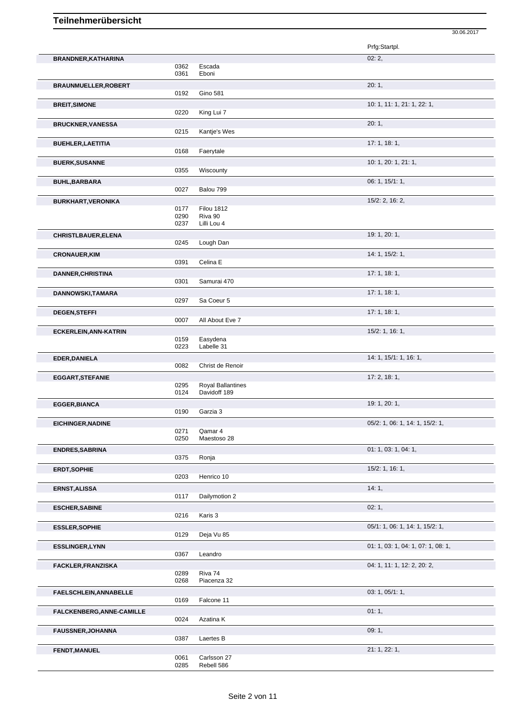|                               |              |                          | Prfg:Startpl.                      |
|-------------------------------|--------------|--------------------------|------------------------------------|
| BRANDNER, KATHARINA           | 0362<br>0361 | Escada<br>Eboni          | 02:2,                              |
| <b>BRAUNMUELLER, ROBERT</b>   | 0192         | <b>Gino 581</b>          | 20:1,                              |
| <b>BREIT, SIMONE</b>          | 0220         | King Lui 7               | 10: 1, 11: 1, 21: 1, 22: 1,        |
| <b>BRUCKNER, VANESSA</b>      | 0215         | Kantje's Wes             | 20:1,                              |
| <b>BUEHLER, LAETITIA</b>      |              |                          | 17:1, 18:1,                        |
|                               | 0168         | Faerytale                |                                    |
| <b>BUERK, SUSANNE</b>         | 0355         | Wiscounty                | 10: 1, 20: 1, 21: 1,               |
| <b>BUHL, BARBARA</b>          | 0027         | Balou 799                | 06: 1, 15/1: 1,                    |
|                               |              |                          | $15/2$ : 2, 16: 2,                 |
| <b>BURKHART, VERONIKA</b>     | 0177         | <b>Filou 1812</b>        |                                    |
|                               | 0290         | Riva 90                  |                                    |
|                               | 0237         | Lilli Lou 4              |                                    |
| <b>CHRISTLBAUER, ELENA</b>    |              |                          | 19: 1, 20: 1,                      |
|                               | 0245         | Lough Dan                |                                    |
| <b>CRONAUER, KIM</b>          |              |                          | 14: 1, 15/2: 1,                    |
|                               | 0391         | Celina E                 |                                    |
| <b>DANNER, CHRISTINA</b>      |              |                          | 17:1, 18:1,                        |
|                               | 0301         | Samurai 470              |                                    |
| DANNOWSKI, TAMARA             |              |                          | 17:1, 18:1,                        |
|                               | 0297         | Sa Coeur 5               |                                    |
| <b>DEGEN, STEFFI</b>          |              |                          | 17:1, 18:1,                        |
|                               | 0007         | All About Eve 7          |                                    |
| ECKERLEIN, ANN-KATRIN         |              |                          | 15/2: 1, 16: 1,                    |
|                               | 0159         | Easydena                 |                                    |
|                               | 0223         | Labelle 31               |                                    |
| EDER, DANIELA                 |              |                          | 14: 1, 15/1: 1, 16: 1,             |
|                               | 0082         | Christ de Renoir         |                                    |
| <b>EGGART, STEFANIE</b>       |              |                          | 17: 2, 18: 1,                      |
|                               | 0295         | <b>Royal Ballantines</b> |                                    |
|                               | 0124         | Davidoff 189             |                                    |
| <b>EGGER, BIANCA</b>          |              |                          | 19: 1, 20: 1,                      |
|                               | 0190         | Garzia 3                 |                                    |
| <b>EICHINGER, NADINE</b>      |              |                          | 05/2: 1, 06: 1, 14: 1, 15/2: 1,    |
|                               | 0271<br>0250 | Qamar 4<br>Maestoso 28   |                                    |
|                               |              |                          |                                    |
| <b>ENDRES, SABRINA</b>        | 0375         | Ronja                    | 01: 1, 03: 1, 04: 1,               |
|                               |              |                          |                                    |
| <b>ERDT, SOPHIE</b>           | 0203         | Henrico 10               | 15/2: 1, 16: 1,                    |
|                               |              |                          |                                    |
| <b>ERNST, ALISSA</b>          | 0117         | Dailymotion 2            | 14:1,                              |
|                               |              |                          |                                    |
| <b>ESCHER, SABINE</b>         | 0216         | Karis 3                  | 02:1,                              |
|                               |              |                          |                                    |
| <b>ESSLER, SOPHIE</b>         | 0129         | Deja Vu 85               | 05/1: 1, 06: 1, 14: 1, 15/2: 1,    |
|                               |              |                          |                                    |
| <b>ESSLINGER,LYNN</b>         | 0367         | Leandro                  | 01: 1, 03: 1, 04: 1, 07: 1, 08: 1, |
|                               |              |                          |                                    |
| FACKLER, FRANZISKA            |              |                          | 04: 1, 11: 1, 12: 2, 20: 2,        |
|                               | 0289<br>0268 | Riva 74<br>Piacenza 32   |                                    |
|                               |              |                          | 03: 1, 05/1: 1,                    |
| <b>FAELSCHLEIN, ANNABELLE</b> | 0169         | Falcone 11               |                                    |
|                               |              |                          | 01:1,                              |
| FALCKENBERG, ANNE-CAMILLE     | 0024         | Azatina K                |                                    |
|                               |              |                          | 09:1,                              |
| <b>FAUSSNER, JOHANNA</b>      | 0387         | Laertes B                |                                    |
|                               |              |                          | 21: 1, 22: 1,                      |
| <b>FENDT, MANUEL</b>          | 0061         | Carlsson 27              |                                    |
|                               | 0285         | Rebell 586               |                                    |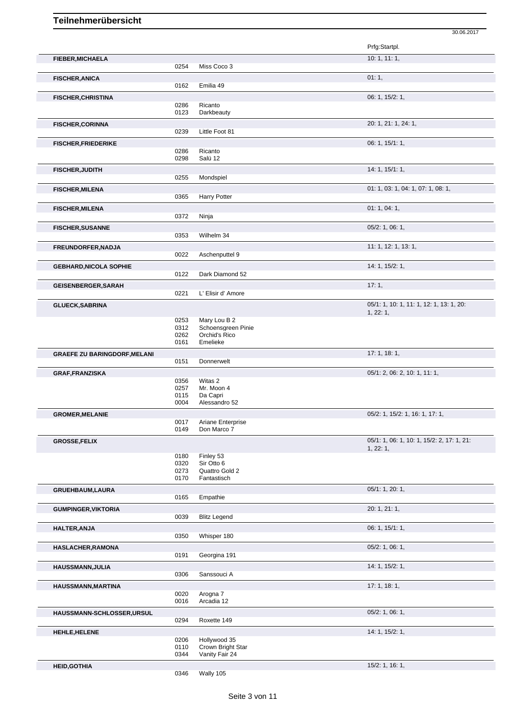|                                     |              |                                   | 30.06.2017                                            |
|-------------------------------------|--------------|-----------------------------------|-------------------------------------------------------|
|                                     |              |                                   | Prfg:Startpl.                                         |
| <b>FIEBER, MICHAELA</b>             |              |                                   | 10: 1, 11: 1,                                         |
|                                     | 0254         | Miss Coco 3                       |                                                       |
| <b>FISCHER, ANICA</b>               |              |                                   | 01:1,                                                 |
|                                     | 0162         | Emilia 49                         |                                                       |
|                                     |              |                                   | 06: 1, 15/2: 1,                                       |
| <b>FISCHER, CHRISTINA</b>           | 0286         | Ricanto                           |                                                       |
|                                     | 0123         | Darkbeauty                        |                                                       |
| <b>FISCHER,CORINNA</b>              |              |                                   | 20: 1, 21: 1, 24: 1,                                  |
|                                     | 0239         | Little Foot 81                    |                                                       |
| <b>FISCHER, FRIEDERIKE</b>          |              |                                   | 06: 1, 15/1: 1,                                       |
|                                     | 0286         | Ricanto                           |                                                       |
|                                     | 0298         | Salü 12                           |                                                       |
| <b>FISCHER, JUDITH</b>              |              |                                   | 14:1, 15/1:1,                                         |
|                                     | 0255         | Mondspiel                         |                                                       |
| <b>FISCHER, MILENA</b>              |              |                                   | 01: 1, 03: 1, 04: 1, 07: 1, 08: 1,                    |
|                                     | 0365         | <b>Harry Potter</b>               |                                                       |
| <b>FISCHER, MILENA</b>              |              |                                   | 01: 1, 04: 1,                                         |
|                                     | 0372         | Ninja                             |                                                       |
| <b>FISCHER, SUSANNE</b>             |              |                                   | 05/2: 1, 06: 1,                                       |
|                                     | 0353         | Wilhelm 34                        |                                                       |
|                                     |              |                                   | 11: 1, 12: 1, 13: 1,                                  |
| FREUNDORFER, NADJA                  | 0022         | Aschenputtel 9                    |                                                       |
|                                     |              |                                   | 14: 1, 15/2: 1,                                       |
| <b>GEBHARD, NICOLA SOPHIE</b>       | 0122         | Dark Diamond 52                   |                                                       |
|                                     |              |                                   |                                                       |
| <b>GEISENBERGER, SARAH</b>          | 0221         | L' Elisir d' Amore                | 17:1,                                                 |
|                                     |              |                                   |                                                       |
| <b>GLUECK, SABRINA</b>              |              |                                   | 05/1: 1, 10: 1, 11: 1, 12: 1, 13: 1, 20:<br>1, 22: 1, |
|                                     | 0253         | Mary Lou B 2                      |                                                       |
|                                     | 0312         | Schoensgreen Pinie                |                                                       |
|                                     | 0262         | Orchid's Rico                     |                                                       |
|                                     | 0161         | Emelieke                          |                                                       |
| <b>GRAEFE ZU BARINGDORF, MELANI</b> |              |                                   | 17:1, 18:1,                                           |
|                                     | 0151         | Donnerwelt                        |                                                       |
| <b>GRAF, FRANZISKA</b>              |              |                                   | 05/1: 2, 06: 2, 10: 1, 11: 1,                         |
|                                     | 0356         | Witas 2                           |                                                       |
|                                     | 0257<br>0115 | Mr. Moon 4<br>Da Capri            |                                                       |
|                                     | 0004         | Alessandro 52                     |                                                       |
| <b>GROMER, MELANIE</b>              |              |                                   | 05/2: 1, 15/2: 1, 16: 1, 17: 1,                       |
|                                     | 0017         | Ariane Enterprise                 |                                                       |
|                                     | 0149         | Don Marco 7                       |                                                       |
| <b>GROSSE,FELIX</b>                 |              |                                   | 05/1: 1, 06: 1, 10: 1, 15/2: 2, 17: 1, 21:            |
|                                     |              |                                   | 1, 22: 1,                                             |
|                                     | 0180         | Finley 53                         |                                                       |
|                                     | 0320<br>0273 | Sir Otto 6<br>Quattro Gold 2      |                                                       |
|                                     | 0170         | Fantastisch                       |                                                       |
| GRUEHBAUM, LAURA                    |              |                                   | 05/1: 1, 20: 1,                                       |
|                                     | 0165         | Empathie                          |                                                       |
| <b>GUMPINGER, VIKTORIA</b>          |              |                                   | 20: 1, 21: 1,                                         |
|                                     | 0039         | <b>Blitz Legend</b>               |                                                       |
|                                     |              |                                   | 06: 1, 15/1: 1,                                       |
| <b>HALTER, ANJA</b>                 | 0350         | Whisper 180                       |                                                       |
|                                     |              |                                   | 05/2: 1, 06: 1,                                       |
| HASLACHER, RAMONA                   | 0191         | Georgina 191                      |                                                       |
|                                     |              |                                   |                                                       |
| <b>HAUSSMANN, JULIA</b>             | 0306         | Sanssouci A                       | 14: 1, 15/2: 1,                                       |
|                                     |              |                                   |                                                       |
| HAUSSMANN, MARTINA                  |              |                                   | 17:1, 18:1,                                           |
|                                     | 0020<br>0016 | Arogna 7<br>Arcadia 12            |                                                       |
|                                     |              |                                   |                                                       |
| HAUSSMANN-SCHLOSSER, URSUL          |              |                                   | 05/2: 1, 06: 1,                                       |
|                                     | 0294         | Roxette 149                       |                                                       |
| HEHLE, HELENE                       |              |                                   | 14: 1, 15/2: 1,                                       |
|                                     | 0206<br>0110 | Hollywood 35<br>Crown Bright Star |                                                       |
|                                     | 0344         | Vanity Fair 24                    |                                                       |
| <b>HEID, GOTHIA</b>                 |              |                                   | 15/2: 1, 16: 1,                                       |
|                                     | 0346         | Wally 105                         |                                                       |
|                                     |              |                                   |                                                       |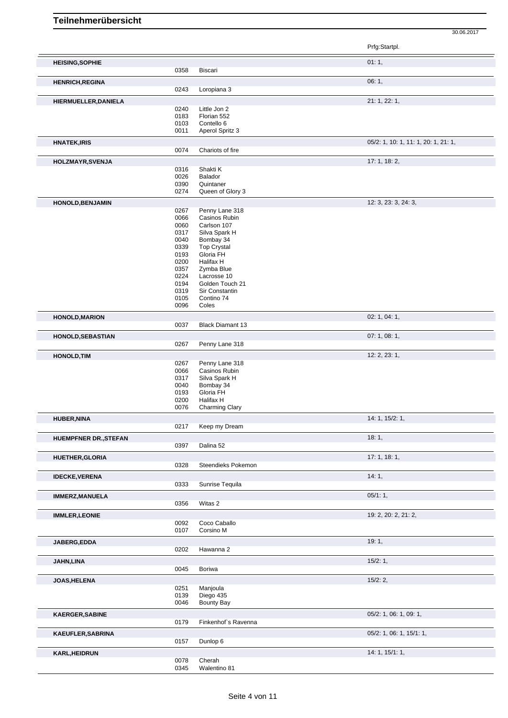|                              |              |                         | Prfg:Startpl.                        |
|------------------------------|--------------|-------------------------|--------------------------------------|
| <b>HEISING, SOPHIE</b>       |              |                         | 01:1,                                |
|                              | 0358         | Biscari                 |                                      |
| <b>HENRICH, REGINA</b>       |              |                         | 06:1,                                |
|                              | 0243         | Loropiana 3             |                                      |
| HIERMUELLER, DANIELA         |              |                         | 21: 1, 22: 1,                        |
|                              | 0240         | Little Jon 2            |                                      |
|                              | 0183         | Florian 552             |                                      |
|                              | 0103         | Contello 6              |                                      |
|                              | 0011         | Aperol Spritz 3         |                                      |
| <b>HNATEK, IRIS</b>          |              |                         | 05/2: 1, 10: 1, 11: 1, 20: 1, 21: 1, |
|                              | 0074         | Chariots of fire        |                                      |
| HOLZMAYR, SVENJA             |              |                         | 17: 1, 18: 2,                        |
|                              | 0316         | Shakti K                |                                      |
|                              | 0026<br>0390 | Balador<br>Quintaner    |                                      |
|                              | 0274         | Queen of Glory 3        |                                      |
|                              |              |                         | 12: 3, 23: 3, 24: 3,                 |
| HONOLD, BENJAMIN             | 0267         | Penny Lane 318          |                                      |
|                              | 0066         | Casinos Rubin           |                                      |
|                              | 0060         | Carlson 107             |                                      |
|                              | 0317         | Silva Spark H           |                                      |
|                              | 0040         | Bombay 34               |                                      |
|                              | 0339         | <b>Top Crystal</b>      |                                      |
|                              | 0193         | Gloria FH               |                                      |
|                              | 0200<br>0357 | Halifax H<br>Zymba Blue |                                      |
|                              | 0224         | Lacrosse 10             |                                      |
|                              | 0194         | Golden Touch 21         |                                      |
|                              | 0319         | Sir Constantin          |                                      |
|                              | 0105         | Contino 74              |                                      |
|                              | 0096         | Coles                   |                                      |
| <b>HONOLD, MARION</b>        |              |                         | 02: 1, 04: 1,                        |
|                              | 0037         | <b>Black Diamant 13</b> |                                      |
| HONOLD, SEBASTIAN            |              |                         | 07:1,08:1,                           |
|                              | 0267         | Penny Lane 318          |                                      |
| <b>HONOLD, TIM</b>           |              |                         | 12: 2, 23: 1,                        |
|                              | 0267         | Penny Lane 318          |                                      |
|                              | 0066         | Casinos Rubin           |                                      |
|                              | 0317         | Silva Spark H           |                                      |
|                              | 0040         | Bombay 34               |                                      |
|                              | 0193<br>0200 | Gloria FH<br>Halifax H  |                                      |
|                              | 0076         | <b>Charming Clary</b>   |                                      |
|                              |              |                         | 14: 1, 15/2: 1,                      |
| <b>HUBER, NINA</b>           | 0217         | Keep my Dream           |                                      |
|                              |              |                         |                                      |
| <b>HUEMPFNER DR., STEFAN</b> |              |                         | 18:1,                                |
|                              | 0397         | Dalina 52               |                                      |
| <b>HUETHER, GLORIA</b>       |              |                         | 17:1, 18:1,                          |
|                              | 0328         | Steendieks Pokemon      |                                      |
| <b>IDECKE, VERENA</b>        |              |                         | 14:1,                                |
|                              | 0333         | Sunrise Tequila         |                                      |
| <b>IMMERZ, MANUELA</b>       |              |                         | 05/1:1,                              |
|                              | 0356         | Witas 2                 |                                      |
| <b>IMMLER,LEONIE</b>         |              |                         | 19: 2, 20: 2, 21: 2,                 |
|                              | 0092         | Coco Caballo            |                                      |
|                              | 0107         | Corsino M               |                                      |
| JABERG,EDDA                  |              |                         | 19:1,                                |
|                              | 0202         | Hawanna 2               |                                      |
|                              |              |                         | 15/2:1,                              |
| JAHN, LINA                   | 0045         | <b>Boriwa</b>           |                                      |
|                              |              |                         |                                      |
| JOAS, HELENA                 |              |                         | 15/2:2,                              |
|                              | 0251<br>0139 | Manjoula<br>Diego 435   |                                      |
|                              | 0046         | <b>Bounty Bay</b>       |                                      |
|                              |              |                         |                                      |
| <b>KAERGER, SABINE</b>       | 0179         | Finkenhof's Ravenna     | 05/2: 1, 06: 1, 09: 1,               |
|                              |              |                         |                                      |
| <b>KAEUFLER, SABRINA</b>     |              |                         | 05/2: 1, 06: 1, 15/1: 1,             |
|                              | 0157         | Dunlop 6                |                                      |
| <b>KARL, HEIDRUN</b>         |              |                         | 14: 1, 15/1: 1,                      |
|                              | 0078         | Cherah                  |                                      |
|                              | 0345         | Walentino 81            |                                      |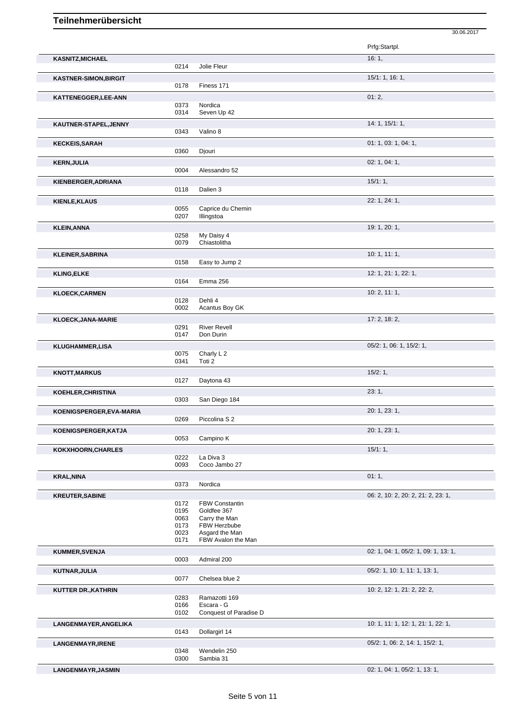|                              |              |                                 | 30.06.2017                           |
|------------------------------|--------------|---------------------------------|--------------------------------------|
|                              |              |                                 | Prfg:Startpl.                        |
| <b>KASNITZ, MICHAEL</b>      | 0214         | Jolie Fleur                     | 16:1,                                |
| <b>KASTNER-SIMON, BIRGIT</b> | 0178         | Finess 171                      | 15/1: 1, 16: 1,                      |
| KATTENEGGER, LEE-ANN         |              |                                 | 01:2,                                |
|                              | 0373<br>0314 | Nordica<br>Seven Up 42          |                                      |
| KAUTNER-STAPEL, JENNY        | 0343         | Valino 8                        | 14: 1, 15/1: 1,                      |
| <b>KECKEIS, SARAH</b>        |              |                                 | 01: 1, 03: 1, 04: 1,                 |
|                              | 0360         | Djouri                          |                                      |
| <b>KERN, JULIA</b>           | 0004         | Alessandro 52                   | 02: 1, 04: 1,                        |
| KIENBERGER, ADRIANA          |              |                                 | 15/1:1,                              |
|                              | 0118         | Dalien 3                        |                                      |
| <b>KIENLE, KLAUS</b>         |              |                                 | 22: 1, 24: 1,                        |
|                              | 0055<br>0207 | Caprice du Chemin<br>Illingstoa |                                      |
| <b>KLEIN, ANNA</b>           |              |                                 | 19: 1, 20: 1,                        |
|                              | 0258<br>0079 | My Daisy 4<br>Chiastolitha      |                                      |
| <b>KLEINER, SABRINA</b>      |              |                                 | 10: 1, 11: 1,                        |
|                              | 0158         | Easy to Jump 2                  |                                      |
| <b>KLING, ELKE</b>           | 0164         | Emma 256                        | 12: 1, 21: 1, 22: 1,                 |
| <b>KLOECK, CARMEN</b>        |              |                                 | 10: 2, 11: 1,                        |
|                              | 0128         | Dehli 4                         |                                      |
|                              | 0002         | Acantus Boy GK                  |                                      |
| KLOECK, JANA-MARIE           | 0291         | <b>River Revell</b>             | 17: 2, 18: 2,                        |
|                              | 0147         | Don Durin                       |                                      |
| KLUGHAMMER,LISA              | 0075         | Charly L <sub>2</sub>           | 05/2: 1, 06: 1, 15/2: 1,             |
|                              | 0341         | Toti <sub>2</sub>               |                                      |
| <b>KNOTT, MARKUS</b>         | 0127         | Daytona 43                      | 15/2:1,                              |
| KOEHLER, CHRISTINA           |              |                                 | 23:1,                                |
|                              | 0303         | San Diego 184                   |                                      |
| KOENIGSPERGER,EVA-MARIA      |              |                                 | 20: 1, 23: 1,                        |
|                              | 0269         | Piccolina S 2                   | 20: 1, 23: 1,                        |
| KOENIGSPERGER, KATJA         | 0053         | Campino K                       |                                      |
| KOKXHOORN, CHARLES           |              |                                 | 15/1:1,                              |
|                              | 0222<br>0093 | La Diva 3<br>Coco Jambo 27      |                                      |
| <b>KRAL, NINA</b>            |              |                                 | 01:1,                                |
|                              | 0373         | Nordica                         |                                      |
| <b>KREUTER, SABINE</b>       | 0172         | FBW Constantin                  | 06: 2, 10: 2, 20: 2, 21: 2, 23: 1,   |
|                              | 0195         | Goldfee 367                     |                                      |
|                              | 0063<br>0173 | Carry the Man<br>FBW Herzbube   |                                      |
|                              | 0023         | Asgard the Man                  |                                      |
|                              | 0171         | FBW Avalon the Man              |                                      |
| KUMMER, SVENJA               | 0003         | Admiral 200                     | 02: 1, 04: 1, 05/2: 1, 09: 1, 13: 1, |
| KUTNAR, JULIA                |              |                                 | 05/2: 1, 10: 1, 11: 1, 13: 1,        |
|                              | 0077         | Chelsea blue 2                  |                                      |
| KUTTER DR., KATHRIN          | 0283         | Ramazotti 169                   | 10: 2, 12: 1, 21: 2, 22: 2,          |
|                              | 0166         | Escara - G                      |                                      |
|                              | 0102         | Conquest of Paradise D          |                                      |
| LANGENMAYER, ANGELIKA        | 0143         | Dollargirl 14                   | 10: 1, 11: 1, 12: 1, 21: 1, 22: 1,   |
| LANGENMAYR, IRENE            |              |                                 | 05/2: 1, 06: 2, 14: 1, 15/2: 1,      |
|                              | 0348<br>0300 | Wendelin 250<br>Sambia 31       |                                      |
| LANGENMAYR, JASMIN           |              |                                 | 02: 1, 04: 1, 05/2: 1, 13: 1,        |
|                              |              |                                 |                                      |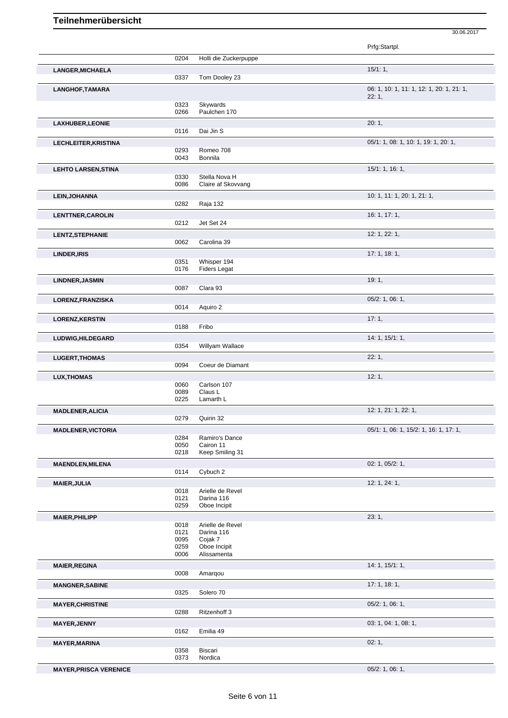|                               |              |                                    | Prfg:Startpl.                                      |
|-------------------------------|--------------|------------------------------------|----------------------------------------------------|
|                               | 0204         | Holli die Zuckerpuppe              |                                                    |
| LANGER, MICHAELA              |              |                                    | 15/1:1,                                            |
|                               | 0337         | Tom Dooley 23                      |                                                    |
| LANGHOF, TAMARA               |              |                                    | 06: 1, 10: 1, 11: 1, 12: 1, 20: 1, 21: 1,<br>22:1, |
|                               | 0323<br>0266 | Skywards<br>Paulchen 170           |                                                    |
| LAXHUBER, LEONIE              |              |                                    | 20:1,                                              |
|                               | 0116         | Dai Jin S                          |                                                    |
| LECHLEITER, KRISTINA          | 0293         | Romeo 708                          | 05/1: 1, 08: 1, 10: 1, 19: 1, 20: 1,               |
|                               | 0043         | <b>Bonnila</b>                     |                                                    |
| <b>LEHTO LARSEN, STINA</b>    | 0330         | Stella Nova H                      | 15/1: 1, 16: 1,                                    |
|                               | 0086         | Claire af Skovvang                 |                                                    |
| LEIN, JOHANNA                 |              |                                    | 10: 1, 11: 1, 20: 1, 21: 1,                        |
|                               | 0282         | Raja 132                           |                                                    |
| <b>LENTTNER, CAROLIN</b>      | 0212         | Jet Set 24                         | 16: 1, 17: 1,                                      |
| <b>LENTZ, STEPHANIE</b>       |              |                                    | 12: 1, 22: 1,                                      |
|                               | 0062         | Carolina 39                        |                                                    |
| LINDER, IRIS                  |              |                                    | 17:1, 18:1,                                        |
|                               | 0351<br>0176 | Whisper 194<br><b>Fiders Legat</b> |                                                    |
| <b>LINDNER, JASMIN</b>        |              |                                    | 19:1,                                              |
|                               | 0087         | Clara 93                           |                                                    |
| LORENZ, FRANZISKA             |              |                                    | 05/2: 1, 06: 1,                                    |
|                               | 0014         | Aquiro 2                           |                                                    |
| <b>LORENZ, KERSTIN</b>        | 0188         | Fribo                              | 17:1,                                              |
| LUDWIG, HILDEGARD             |              |                                    | 14: 1, 15/1: 1,                                    |
|                               | 0354         | Willyam Wallace                    |                                                    |
| <b>LUGERT, THOMAS</b>         |              |                                    | 22:1,                                              |
|                               | 0094         | Coeur de Diamant                   |                                                    |
| <b>LUX, THOMAS</b>            |              |                                    | 12:1,                                              |
|                               | 0060<br>0089 | Carlson 107<br>Claus L             |                                                    |
|                               | 0225         | Lamarth L                          |                                                    |
| <b>MADLENER, ALICIA</b>       |              |                                    | 12: 1, 21: 1, 22: 1,                               |
|                               | 0279         | Quirin 32                          |                                                    |
| <b>MADLENER, VICTORIA</b>     |              |                                    | 05/1: 1, 06: 1, 15/2: 1, 16: 1, 17: 1,             |
|                               | 0284<br>0050 | Ramiro's Dance<br>Cairon 11        |                                                    |
|                               | 0218         | Keep Smiling 31                    |                                                    |
| <b>MAENDLEN, MILENA</b>       |              |                                    | 02: 1, 05/2: 1,                                    |
|                               | 0114         | Cybuch 2                           |                                                    |
| <b>MAIER, JULIA</b>           | 0018         | Arielle de Revel                   | 12: 1, 24: 1,                                      |
|                               | 0121         | Darina 116                         |                                                    |
|                               | 0259         | Oboe Incipit                       |                                                    |
| <b>MAIER, PHILIPP</b>         |              |                                    | 23:1,                                              |
|                               | 0018<br>0121 | Arielle de Revel<br>Darina 116     |                                                    |
|                               | 0095         | Cojak 7                            |                                                    |
|                               | 0259         | Oboe Incipit                       |                                                    |
|                               | 0006         | Alissamenta                        |                                                    |
| <b>MAIER, REGINA</b>          | 0008         | Amarqou                            | 14: 1, 15/1: 1,                                    |
| <b>MANGNER, SABINE</b>        |              |                                    | 17:1, 18:1,                                        |
|                               | 0325         | Solero 70                          |                                                    |
| <b>MAYER, CHRISTINE</b>       |              |                                    | 05/2: 1, 06: 1,                                    |
|                               | 0288         | Ritzenhoff 3                       |                                                    |
| <b>MAYER, JENNY</b>           | 0162         | Emilia 49                          | 03: 1, 04: 1, 08: 1,                               |
| <b>MAYER, MARINA</b>          |              |                                    | 02:1,                                              |
|                               | 0358         | Biscari                            |                                                    |
|                               | 0373         | Nordica                            |                                                    |
| <b>MAYER, PRISCA VERENICE</b> |              |                                    | 05/2: 1, 06: 1,                                    |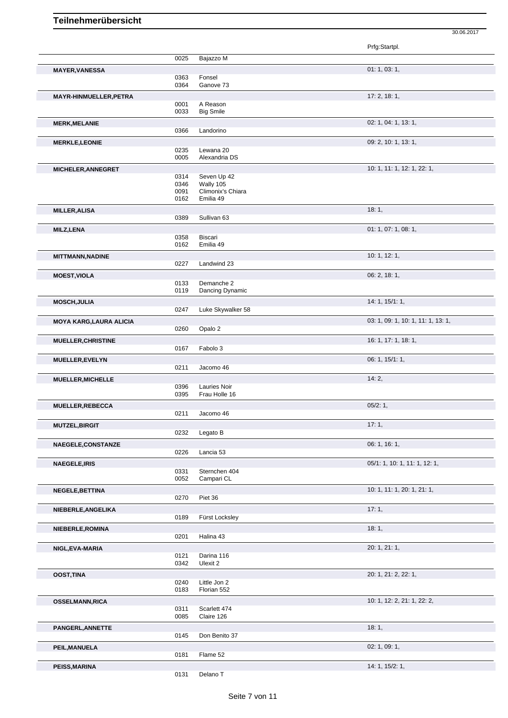Prfg:Startpl. 0025 Bajazzo M **MAYER,VANESSA** 01: 1, 03: 1, 0363 Fonsel 0364 Ganove 73 **MAYR-HINMUELLER,PETRA** 17: 2, 18: 1, 0001 A Reason 0033 Big Smile **MERK,MELANIE** 02: 1, 04: 1, 13: 1, 0366 Landorino **MERKLE,LEONIE** 09: 2, 10: 1, 13: 1, 0235 Lewana 20 0005 Alexandria DS **MICHELER,ANNEGRET** 10: 1, 11: 1, 12: 1, 22: 1, 0314 Seven Up 42<br>0346 Wally 105 0346 Wally 105 0091 Climonix's Chiara<br>0162 Emilia 49 Emilia 49 **MILLER,ALISA** 18: 1, Sullivan 63 **MILZ,LENA** 01: 1, 07: 1, 08: 1, 0358 Biscari<br>0162 Emilia Emilia 49 **MITTMANN,NADINE** 10: 1, 12: 1, 12: 1, 12: 1, 12: 1, 12: 1, 12: 1, 12: 1, 12: 1, 12: 1, 12: 1, 12: 1, 12: 1, 12: 1, Landwind 23 **MOEST,VIOLA** 06: 2, 18: 1, 0133 Demanche 2<br>0119 Dancing Dyn Dancing Dynamic **MOSCH,JULIA** 14: 1, 15/1: 1, Luke Skywalker 58 **MOYA KARG,LAURA ALICIA 03: 1, 09: 1, 10: 1, 11: 1, 13: 1,** 0260 Opalo 2 **MUELLER, CHRISTINE** 16: 1, 17: 1, 18: 1, 0167 Fabolo 3 **MUELLER,EVELYN** 06: 1, 15/1: 1, 0211 Jacomo 46 **MUELLER,MICHELLE** 14: 2, 0396 Lauries Noir 0395 Frau Holle 16 **MUELLER,REBECCA** 05/2: 1, 0211 Jacomo 46 **MUTZEL,BIRGIT** 17: 1, 0232 Legato B **NAEGELE, CONSTANZE** 06: 1, 16: 1, 0226 Lancia 53 **NAEGELE,IRIS** 0371 0331 Sternchen 404 0331 05/1: 1, 10: 1, 11: 1, 12: 1, 0331 Sternchen 404<br>0052 Campari CL Campari CL **NEGELE,BETTINA** 10: 1, 11: 1, 20: 1, 21: 1, 0270 Piet 36 **NIEBERLE,ANGELIKA** 17: 1, 0189 Fürst Locksley **NIEBERLE,ROMINA** 18: 1, 0201 Halina 43 **NIGL,EVA-MARIA** 20: 1, 21: 1, 0121 Darina 116<br>0342 Ulexit 2 Ulexit 2 **OOST,TINA** 20: 1, 21: 2, 22: 1, 0240 Little Jon 2 0183 Florian 552 **OSSELMANN,RICA** 10: 1, 12: 2, 21: 1, 22: 2, 0311 Scarlett 474 0085 Claire 126 **PANGERL,ANNETTE** 18: 1, 0145 Don Benito 37 **PEIL,MANUELA** 02: 1, 09: 1, 0181 Flame 52 **PEISS,MARINA** 14: 1, 15/2: 1,

30.06.2017

0131 Delano T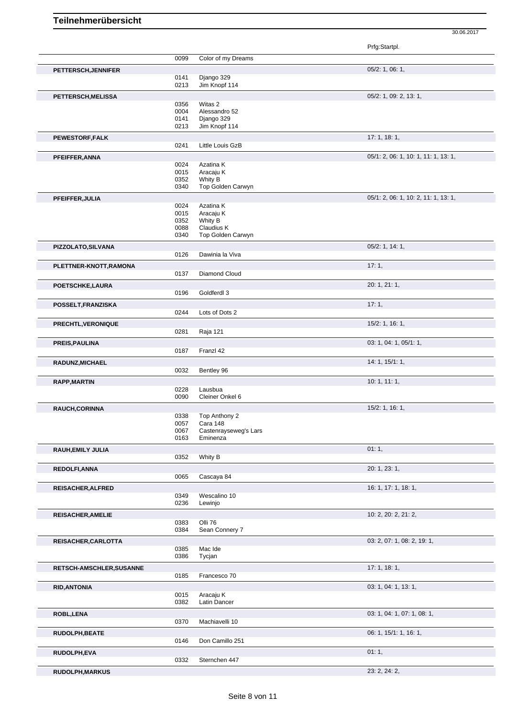|                           |              |                            | Prfg:Startpl.                        |
|---------------------------|--------------|----------------------------|--------------------------------------|
|                           | 0099         | Color of my Dreams         |                                      |
| PETTERSCH, JENNIFER       |              |                            | 05/2: 1, 06: 1,                      |
|                           | 0141         | Django 329                 |                                      |
|                           | 0213         | Jim Knopf 114              |                                      |
| PETTERSCH, MELISSA        |              |                            | 05/2: 1, 09: 2, 13: 1,               |
|                           | 0356         | Witas 2                    |                                      |
|                           | 0004         | Alessandro 52              |                                      |
|                           | 0141         | Django 329                 |                                      |
|                           | 0213         | Jim Knopf 114              |                                      |
| PEWESTORF, FALK           |              |                            | 17:1, 18:1,                          |
|                           | 0241         | Little Louis GzB           |                                      |
| PFEIFFER, ANNA            |              |                            | 05/1: 2, 06: 1, 10: 1, 11: 1, 13: 1, |
|                           | 0024         | Azatina K                  |                                      |
|                           | 0015<br>0352 | Aracaju K<br>Whity B       |                                      |
|                           | 0340         | Top Golden Carwyn          |                                      |
|                           |              |                            |                                      |
| PFEIFFER, JULIA           | 0024         | Azatina K                  | 05/1: 2, 06: 1, 10: 2, 11: 1, 13: 1, |
|                           | 0015         | Aracaju K                  |                                      |
|                           | 0352         | Whity B                    |                                      |
|                           | 0088         | Claudius K                 |                                      |
|                           | 0340         | Top Golden Carwyn          |                                      |
| PIZZOLATO, SILVANA        |              |                            | $05/2$ : 1, 14: 1,                   |
|                           | 0126         | Dawinia la Viva            |                                      |
| PLETTNER-KNOTT, RAMONA    |              |                            | 17:1,                                |
|                           | 0137         | Diamond Cloud              |                                      |
| POETSCHKE,LAURA           |              |                            | 20: 1, 21: 1,                        |
|                           | 0196         | Goldferdl 3                |                                      |
| POSSELT, FRANZISKA        |              |                            | 17:1,                                |
|                           | 0244         | Lots of Dots 2             |                                      |
| <b>PRECHTL, VERONIQUE</b> |              |                            | $15/2$ : 1, 16: 1,                   |
|                           | 0281         | Raja 121                   |                                      |
|                           |              |                            |                                      |
| PREIS, PAULINA            | 0187         | Franzl 42                  | 03: 1, 04: 1, 05/1: 1,               |
|                           |              |                            |                                      |
| RADUNZ, MICHAEL           | 0032         | Bentley 96                 | 14:1, 15/1:1,                        |
|                           |              |                            |                                      |
| <b>RAPP, MARTIN</b>       |              |                            | 10: 1, 11: 1,                        |
|                           | 0228<br>0090 | Lausbua<br>Cleiner Onkel 6 |                                      |
|                           |              |                            |                                      |
| <b>RAUCH, CORINNA</b>     | 0338         | Top Anthony 2              | $15/2$ : 1, 16: 1,                   |
|                           | 0057         | Cara 148                   |                                      |
|                           | 0067         | Castenrayseweg's Lars      |                                      |
|                           | 0163         | Eminenza                   |                                      |
| RAUH, EMILY JULIA         |              |                            | 01:1,                                |
|                           | 0352         | Whity B                    |                                      |
| <b>REDOLFI, ANNA</b>      |              |                            | 20: 1, 23: 1,                        |
|                           | 0065         | Cascaya 84                 |                                      |
| <b>REISACHER, ALFRED</b>  |              |                            | 16: 1, 17: 1, 18: 1,                 |
|                           | 0349         | Wescalino 10               |                                      |
|                           | 0236         | Lewinjo                    |                                      |
| <b>REISACHER, AMELIE</b>  |              |                            | 10: 2, 20: 2, 21: 2,                 |
|                           | 0383         | Olli 76                    |                                      |
|                           |              |                            |                                      |
|                           | 0384         | Sean Connery 7             |                                      |
| REISACHER, CARLOTTA       |              |                            | 03: 2, 07: 1, 08: 2, 19: 1,          |
|                           | 0385         | Mac Ide                    |                                      |
|                           | 0386         | Tycjan                     |                                      |
| RETSCH-AMSCHLER, SUSANNE  |              |                            | 17: 1, 18: 1,                        |
|                           | 0185         | Francesco 70               |                                      |
| <b>RID, ANTONIA</b>       |              |                            | 03: 1, 04: 1, 13: 1,                 |
|                           | 0015         | Aracaju K                  |                                      |
|                           | 0382         | Latin Dancer               |                                      |
| <b>ROBL,LENA</b>          |              |                            | 03: 1, 04: 1, 07: 1, 08: 1,          |
|                           | 0370         | Machiavelli 10             |                                      |
| RUDOLPH, BEATE            |              |                            | 06: 1, 15/1: 1, 16: 1,               |
|                           | 0146         | Don Camillo 251            |                                      |
| RUDOLPH,EVA               |              |                            | 01:1,                                |
|                           | 0332         | Sternchen 447              |                                      |
| <b>RUDOLPH, MARKUS</b>    |              |                            | 23: 2, 24: 2,                        |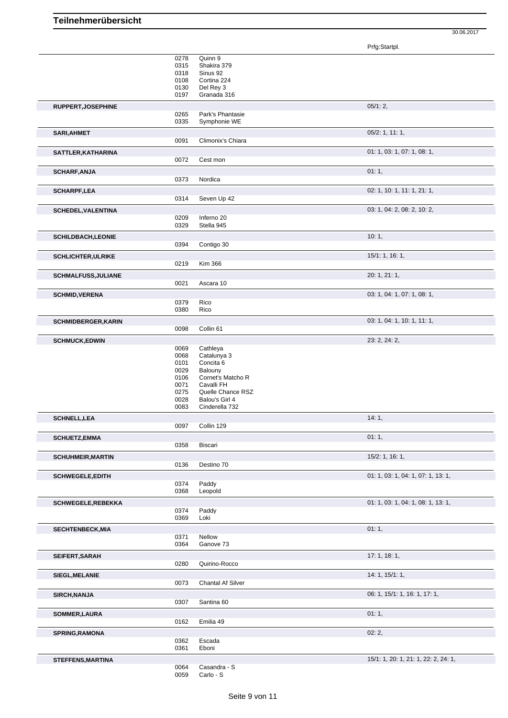Prfg:Startpl.

|                            | 0278<br>0315<br>0318<br>0108<br>0130<br>0197                         | Quinn 9<br>Shakira 379<br>Sinus 92<br>Cortina 224<br>Del Rey 3<br>Granada 316                                                                          |                                      |
|----------------------------|----------------------------------------------------------------------|--------------------------------------------------------------------------------------------------------------------------------------------------------|--------------------------------------|
| RUPPERT, JOSEPHINE         |                                                                      |                                                                                                                                                        | 05/1:2,                              |
|                            | 0265<br>0335                                                         | Park's Phantasie<br>Symphonie WE                                                                                                                       |                                      |
| SARI, AHMET                |                                                                      |                                                                                                                                                        | $05/2$ : 1, 11: 1,                   |
|                            | 0091                                                                 | Climonix's Chiara                                                                                                                                      |                                      |
| SATTLER, KATHARINA         | 0072                                                                 | Cest mon                                                                                                                                               | 01: 1, 03: 1, 07: 1, 08: 1,          |
| <b>SCHARF, ANJA</b>        |                                                                      |                                                                                                                                                        | 01:1,                                |
|                            | 0373                                                                 | Nordica                                                                                                                                                |                                      |
| <b>SCHARPF,LEA</b>         | 0314                                                                 | Seven Up 42                                                                                                                                            | 02: 1, 10: 1, 11: 1, 21: 1,          |
| <b>SCHEDEL, VALENTINA</b>  |                                                                      |                                                                                                                                                        | 03: 1, 04: 2, 08: 2, 10: 2,          |
|                            | 0209                                                                 | Inferno 20                                                                                                                                             |                                      |
|                            | 0329                                                                 | Stella 945                                                                                                                                             |                                      |
| <b>SCHILDBACH,LEONIE</b>   |                                                                      |                                                                                                                                                        | 10:1,                                |
|                            | 0394                                                                 | Contigo 30                                                                                                                                             |                                      |
| <b>SCHLICHTER, ULRIKE</b>  | 0219                                                                 | <b>Kim 366</b>                                                                                                                                         | 15/1: 1, 16: 1,                      |
| <b>SCHMALFUSS, JULIANE</b> |                                                                      |                                                                                                                                                        | 20: 1, 21: 1,                        |
|                            | 0021                                                                 | Ascara 10                                                                                                                                              |                                      |
| <b>SCHMID, VERENA</b>      |                                                                      |                                                                                                                                                        | 03: 1, 04: 1, 07: 1, 08: 1,          |
|                            | 0379<br>0380                                                         | Rico<br>Rico                                                                                                                                           |                                      |
|                            |                                                                      |                                                                                                                                                        |                                      |
| <b>SCHMIDBERGER, KARIN</b> | 0098                                                                 | Collin 61                                                                                                                                              | 03: 1, 04: 1, 10: 1, 11: 1,          |
| <b>SCHMUCK,EDWIN</b>       |                                                                      |                                                                                                                                                        | 23: 2, 24: 2,                        |
|                            | 0069<br>0068<br>0101<br>0029<br>0106<br>0071<br>0275<br>0028<br>0083 | Cathleya<br>Catalunya 3<br>Concita <sub>6</sub><br>Balouny<br>Cornet's Matcho R<br>Cavalli FH<br>Quelle Chance RSZ<br>Balou's Girl 4<br>Cinderella 732 |                                      |
| <b>SCHNELL, LEA</b>        |                                                                      |                                                                                                                                                        | 14:1,                                |
|                            | 0097                                                                 | Collin 129                                                                                                                                             |                                      |
| <b>SCHUETZ, EMMA</b>       |                                                                      |                                                                                                                                                        | 01:1,                                |
|                            | 0358                                                                 | Biscari                                                                                                                                                |                                      |
| <b>SCHUHMEIR, MARTIN</b>   |                                                                      |                                                                                                                                                        | $15/2$ : 1, 16: 1,                   |
|                            | 0136                                                                 | Destino 70                                                                                                                                             |                                      |
| <b>SCHWEGELE,EDITH</b>     |                                                                      |                                                                                                                                                        | 01: 1, 03: 1, 04: 1, 07: 1, 13: 1,   |
|                            | 0374                                                                 | Paddy                                                                                                                                                  |                                      |
|                            | 0368                                                                 | Leopold                                                                                                                                                |                                      |
| <b>SCHWEGELE, REBEKKA</b>  |                                                                      |                                                                                                                                                        | 01: 1, 03: 1, 04: 1, 08: 1, 13: 1,   |
|                            | 0374<br>0369                                                         | Paddy<br>Loki                                                                                                                                          |                                      |
|                            |                                                                      |                                                                                                                                                        |                                      |
| <b>SECHTENBECK, MIA</b>    | 0371                                                                 | Nellow                                                                                                                                                 | 01:1,                                |
|                            | 0364                                                                 | Ganove 73                                                                                                                                              |                                      |
| SEIFERT, SARAH             |                                                                      |                                                                                                                                                        | 17: 1, 18: 1,                        |
|                            | 0280                                                                 | Quirino-Rocco                                                                                                                                          |                                      |
| SIEGL, MELANIE             |                                                                      |                                                                                                                                                        | 14: 1, 15/1: 1,                      |
|                            | 0073                                                                 | <b>Chantal Af Silver</b>                                                                                                                               |                                      |
| <b>SIRCH, NANJA</b>        |                                                                      |                                                                                                                                                        | 06: 1, 15/1: 1, 16: 1, 17: 1,        |
|                            | 0307                                                                 | Santina 60                                                                                                                                             |                                      |
| SOMMER, LAURA              |                                                                      |                                                                                                                                                        | 01:1,                                |
|                            | 0162                                                                 | Emilia 49                                                                                                                                              |                                      |
| <b>SPRING, RAMONA</b>      |                                                                      |                                                                                                                                                        | 02:2,                                |
|                            | 0362                                                                 | Escada                                                                                                                                                 |                                      |
|                            | 0361                                                                 | Eboni                                                                                                                                                  |                                      |
| <b>STEFFENS, MARTINA</b>   | 0064<br>0059                                                         | Casandra - S<br>Carlo - S                                                                                                                              | 15/1: 1, 20: 1, 21: 1, 22: 2, 24: 1, |
|                            |                                                                      |                                                                                                                                                        |                                      |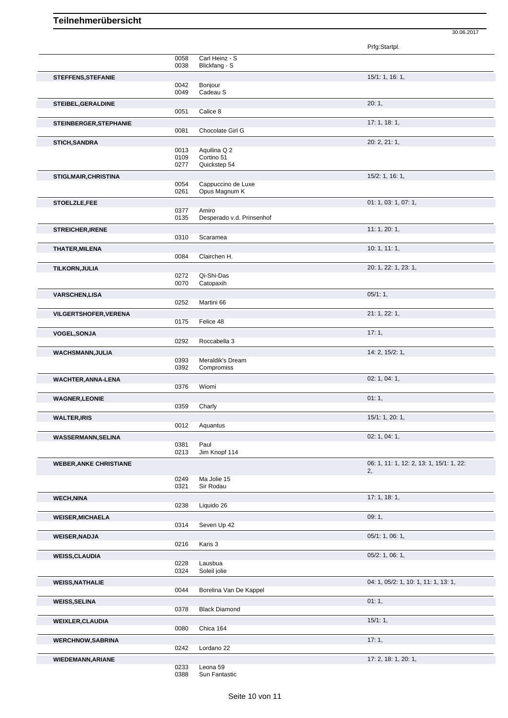30.06.2017

|                               |              |                                    | Prfg:Startpl.                            |
|-------------------------------|--------------|------------------------------------|------------------------------------------|
|                               | 0058         | Carl Heinz - S                     |                                          |
|                               | 0038         | Blickfang - S                      |                                          |
| <b>STEFFENS, STEFANIE</b>     |              |                                    | 15/1: 1, 16: 1,                          |
|                               | 0042         | Bonjour                            |                                          |
|                               | 0049         | Cadeau S                           |                                          |
| STEIBEL, GERALDINE            |              |                                    | 20:1,                                    |
|                               | 0051         | Calice 8                           |                                          |
| STEINBERGER, STEPHANIE        |              |                                    | 17: 1, 18: 1,                            |
|                               | 0081         | Chocolate Girl G                   |                                          |
| <b>STICH, SANDRA</b>          | 0013         | Aquilina Q 2                       | 20: 2, 21: 1,                            |
|                               | 0109         | Cortino 51                         |                                          |
|                               | 0277         | Quickstep 54                       |                                          |
| STIGLMAIR, CHRISTINA          |              |                                    | 15/2: 1, 16: 1,                          |
|                               | 0054         | Cappuccino de Luxe                 |                                          |
|                               | 0261         | Opus Magnum K                      |                                          |
| STOELZLE,FEE                  |              |                                    | 01: 1, 03: 1, 07: 1,                     |
|                               | 0377<br>0135 | Amiro<br>Desperado v.d. Prinsenhof |                                          |
|                               |              |                                    |                                          |
| <b>STREICHER, IRENE</b>       | 0310         | Scaramea                           | 11:1,20:1,                               |
|                               |              |                                    | 10:1, 11:1,                              |
| <b>THATER, MILENA</b>         | 0084         | Clairchen H.                       |                                          |
| TILKORN, JULIA                |              |                                    | 20: 1, 22: 1, 23: 1,                     |
|                               | 0272         | Qi-Shi-Das                         |                                          |
|                               | 0070         | Catopaxih                          |                                          |
| <b>VARSCHEN,LISA</b>          |              |                                    | 05/1:1,                                  |
|                               | 0252         | Martini 66                         |                                          |
| VILGERTSHOFER, VERENA         |              |                                    | 21: 1, 22: 1,                            |
|                               | 0175         | Felice 48                          |                                          |
| VOGEL, SONJA                  |              |                                    | 17:1,                                    |
|                               | 0292         | Roccabella 3                       |                                          |
| <b>WACHSMANN, JULIA</b>       |              |                                    | 14: 2, 15/2: 1,                          |
|                               | 0393<br>0392 | Meraldik's Dream                   |                                          |
|                               |              | Compromiss                         |                                          |
| <b>WACHTER, ANNA-LENA</b>     | 0376         | Wiomi                              | 02: 1, 04: 1,                            |
|                               |              |                                    |                                          |
| <b>WAGNER,LEONIE</b>          | 0359         | Charly                             | 01:1,                                    |
| <b>WALTER, IRIS</b>           |              |                                    | 15/1: 1, 20: 1,                          |
|                               | 0012         | Aquantus                           |                                          |
| <b>WASSERMANN, SELINA</b>     |              |                                    | 02: 1, 04: 1,                            |
|                               | 0381         | Paul                               |                                          |
|                               | 0213         | Jim Knopf 114                      |                                          |
| <b>WEBER, ANKE CHRISTIANE</b> |              |                                    | 06: 1, 11: 1, 12: 2, 13: 1, 15/1: 1, 22: |
|                               |              |                                    | 2,                                       |
|                               | 0249<br>0321 | Ma Jolie 15<br>Sir Rodau           |                                          |
|                               |              |                                    | 17:1, 18:1,                              |
| <b>WECH, NINA</b>             | 0238         | Liquido 26                         |                                          |
| <b>WEISER, MICHAELA</b>       |              |                                    | 09:1,                                    |
|                               | 0314         | Seven Up 42                        |                                          |
| <b>WEISER, NADJA</b>          |              |                                    | 05/1: 1, 06: 1,                          |
|                               | 0216         | Karis 3                            |                                          |
| <b>WEISS, CLAUDIA</b>         |              |                                    | $05/2$ : 1, 06: 1,                       |
|                               | 0228         | Lausbua                            |                                          |
|                               | 0324         | Soleil jolie                       |                                          |
| <b>WEISS, NATHALIE</b>        |              |                                    | 04: 1, 05/2: 1, 10: 1, 11: 1, 13: 1,     |
|                               | 0044         | Borelina Van De Kappel             |                                          |
| <b>WEISS, SELINA</b>          |              |                                    | 01:1,                                    |
|                               | 0378         | <b>Black Diamond</b>               |                                          |
| <b>WEIXLER, CLAUDIA</b>       |              |                                    | 15/1:1,                                  |
|                               | 0080         | Chica 164                          |                                          |
| <b>WERCHNOW, SABRINA</b>      |              |                                    | 17:1,                                    |
|                               | 0242         | Lordano 22                         |                                          |
| <b>WIEDEMANN, ARIANE</b>      |              |                                    | 17: 2, 18: 1, 20: 1,                     |
|                               | 0233         | Leona 59                           |                                          |

0388 Sun Fantastic